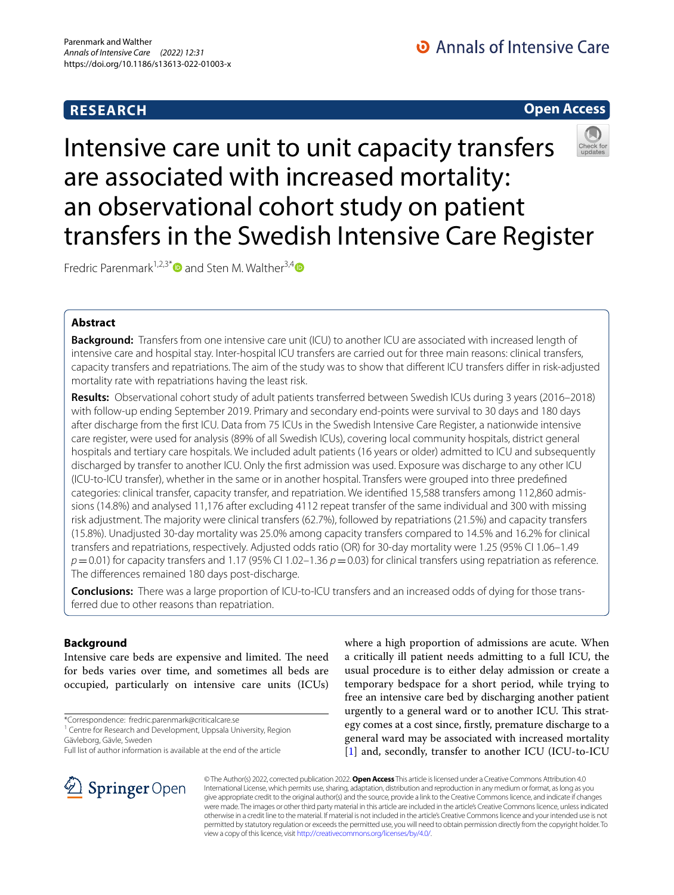# **RESEARCH**

O Annals of Intensive Care

# **Open Access**



# Intensive care unit to unit capacity transfers are associated with increased mortality: an observational cohort study on patient transfers in the Swedish Intensive Care Register

Fredric Parenmark<sup>1,2,3[\\*](http://orcid.org/0000-0003-0041-3289)</sup> and Sten M. Walther<sup>3,[4](http://orcid.org/0000-0002-3862-2556)</sup>

# **Abstract**

**Background:** Transfers from one intensive care unit (ICU) to another ICU are associated with increased length of intensive care and hospital stay. Inter-hospital ICU transfers are carried out for three main reasons: clinical transfers, capacity transfers and repatriations. The aim of the study was to show that diferent ICU transfers difer in risk-adjusted mortality rate with repatriations having the least risk.

**Results:** Observational cohort study of adult patients transferred between Swedish ICUs during 3 years (2016–2018) with follow-up ending September 2019. Primary and secondary end-points were survival to 30 days and 180 days after discharge from the frst ICU. Data from 75 ICUs in the Swedish Intensive Care Register, a nationwide intensive care register, were used for analysis (89% of all Swedish ICUs), covering local community hospitals, district general hospitals and tertiary care hospitals. We included adult patients (16 years or older) admitted to ICU and subsequently discharged by transfer to another ICU. Only the frst admission was used. Exposure was discharge to any other ICU (ICU-to-ICU transfer), whether in the same or in another hospital. Transfers were grouped into three predefned categories: clinical transfer, capacity transfer, and repatriation. We identifed 15,588 transfers among 112,860 admissions (14.8%) and analysed 11,176 after excluding 4112 repeat transfer of the same individual and 300 with missing risk adjustment. The majority were clinical transfers (62.7%), followed by repatriations (21.5%) and capacity transfers (15.8%). Unadjusted 30-day mortality was 25.0% among capacity transfers compared to 14.5% and 16.2% for clinical transfers and repatriations, respectively. Adjusted odds ratio (OR) for 30-day mortality were 1.25 (95% CI 1.06–1.49  $p=0.01$ ) for capacity transfers and 1.17 (95% CI 1.02–1.36  $p=0.03$ ) for clinical transfers using repatriation as reference. The diferences remained 180 days post-discharge.

**Conclusions:** There was a large proportion of ICU-to-ICU transfers and an increased odds of dying for those transferred due to other reasons than repatriation.

# **Background**

Intensive care beds are expensive and limited. The need for beds varies over time, and sometimes all beds are occupied, particularly on intensive care units (ICUs)





© The Author(s) 2022, corrected publication 2022. **Open Access** This article is licensed under a Creative Commons Attribution 4.0 International License, which permits use, sharing, adaptation, distribution and reproduction in any medium or format, as long as you give appropriate credit to the original author(s) and the source, provide a link to the Creative Commons licence, and indicate if changes were made. The images or other third party material in this article are included in the article's Creative Commons licence, unless indicated otherwise in a credit line to the material. If material is not included in the article's Creative Commons licence and your intended use is not permitted by statutory regulation or exceeds the permitted use, you will need to obtain permission directly from the copyright holder. To view a copy of this licence, visit [http://creativecommons.org/licenses/by/4.0/.](http://creativecommons.org/licenses/by/4.0/)

<sup>\*</sup>Correspondence: fredric.parenmark@criticalcare.se

<sup>&</sup>lt;sup>1</sup> Centre for Research and Development, Uppsala University, Region Gävleborg, Gävle, Sweden

Full list of author information is available at the end of the article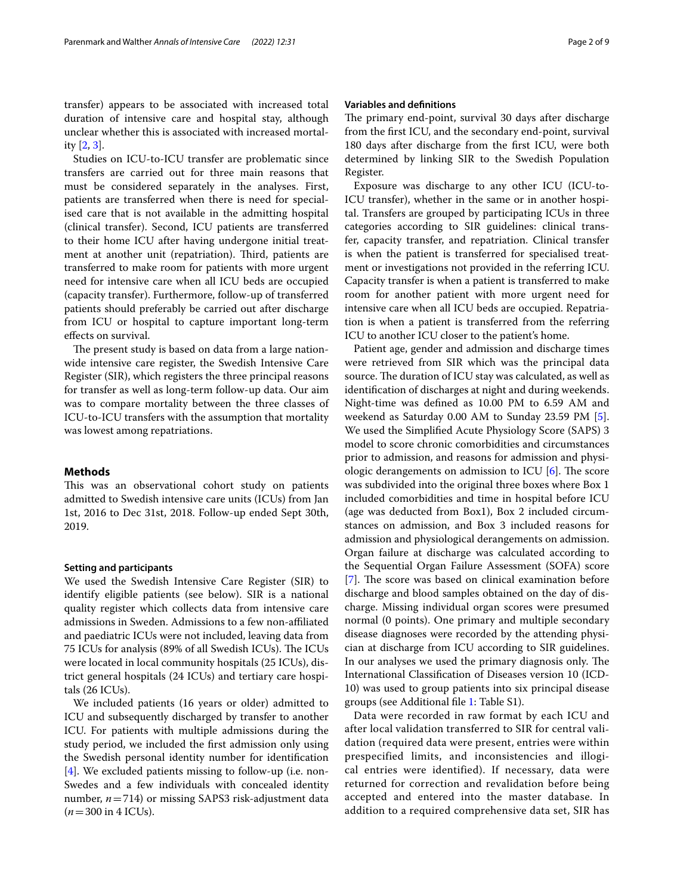transfer) appears to be associated with increased total duration of intensive care and hospital stay, although unclear whether this is associated with increased mortality [[2](#page-7-1), [3\]](#page-7-2).

Studies on ICU-to-ICU transfer are problematic since transfers are carried out for three main reasons that must be considered separately in the analyses. First, patients are transferred when there is need for specialised care that is not available in the admitting hospital (clinical transfer). Second, ICU patients are transferred to their home ICU after having undergone initial treatment at another unit (repatriation). Third, patients are transferred to make room for patients with more urgent need for intensive care when all ICU beds are occupied (capacity transfer). Furthermore, follow-up of transferred patients should preferably be carried out after discharge from ICU or hospital to capture important long-term efects on survival.

The present study is based on data from a large nationwide intensive care register, the Swedish Intensive Care Register (SIR), which registers the three principal reasons for transfer as well as long-term follow-up data. Our aim was to compare mortality between the three classes of ICU-to-ICU transfers with the assumption that mortality was lowest among repatriations.

## <span id="page-1-0"></span>**Methods**

This was an observational cohort study on patients admitted to Swedish intensive care units (ICUs) from Jan 1st, 2016 to Dec 31st, 2018. Follow-up ended Sept 30th, 2019.

#### **Setting and participants**

We used the Swedish Intensive Care Register (SIR) to identify eligible patients (see below). SIR is a national quality register which collects data from intensive care admissions in Sweden. Admissions to a few non-afliated and paediatric ICUs were not included, leaving data from 75 ICUs for analysis (89% of all Swedish ICUs). The ICUs were located in local community hospitals (25 ICUs), district general hospitals (24 ICUs) and tertiary care hospitals (26 ICUs).

We included patients (16 years or older) admitted to ICU and subsequently discharged by transfer to another ICU. For patients with multiple admissions during the study period, we included the frst admission only using the Swedish personal identity number for identifcation [[4\]](#page-7-3). We excluded patients missing to follow-up (i.e. non-Swedes and a few individuals with concealed identity number, *n*=714) or missing SAPS3 risk-adjustment data  $(n=300 \text{ in } 4 \text{ ICUs}).$ 

## **Variables and defnitions**

The primary end-point, survival 30 days after discharge from the frst ICU, and the secondary end-point, survival 180 days after discharge from the frst ICU, were both determined by linking SIR to the Swedish Population Register.

Exposure was discharge to any other ICU (ICU-to-ICU transfer), whether in the same or in another hospital. Transfers are grouped by participating ICUs in three categories according to SIR guidelines: clinical transfer, capacity transfer, and repatriation. Clinical transfer is when the patient is transferred for specialised treatment or investigations not provided in the referring ICU. Capacity transfer is when a patient is transferred to make room for another patient with more urgent need for intensive care when all ICU beds are occupied. Repatriation is when a patient is transferred from the referring ICU to another ICU closer to the patient's home.

Patient age, gender and admission and discharge times were retrieved from SIR which was the principal data source. The duration of ICU stay was calculated, as well as identifcation of discharges at night and during weekends. Night-time was defned as 10.00 PM to 6.59 AM and weekend as Saturday 0.00 AM to Sunday 23.59 PM [\[5](#page-7-4)]. We used the Simplifed Acute Physiology Score (SAPS) 3 model to score chronic comorbidities and circumstances prior to admission, and reasons for admission and physiologic derangements on admission to ICU  $[6]$  $[6]$ . The score was subdivided into the original three boxes where Box 1 included comorbidities and time in hospital before ICU (age was deducted from Box1), Box 2 included circumstances on admission, and Box 3 included reasons for admission and physiological derangements on admission. Organ failure at discharge was calculated according to the Sequential Organ Failure Assessment (SOFA) score [[7\]](#page-7-6). The score was based on clinical examination before discharge and blood samples obtained on the day of discharge. Missing individual organ scores were presumed normal (0 points). One primary and multiple secondary disease diagnoses were recorded by the attending physician at discharge from ICU according to SIR guidelines. In our analyses we used the primary diagnosis only. The International Classifcation of Diseases version 10 (ICD-10) was used to group patients into six principal disease groups (see Additional fle [1](#page-7-7): Table S1).

Data were recorded in raw format by each ICU and after local validation transferred to SIR for central validation (required data were present, entries were within prespecified limits, and inconsistencies and illogical entries were identified). If necessary, data were returned for correction and revalidation before being accepted and entered into the master database. In addition to a required comprehensive data set, SIR has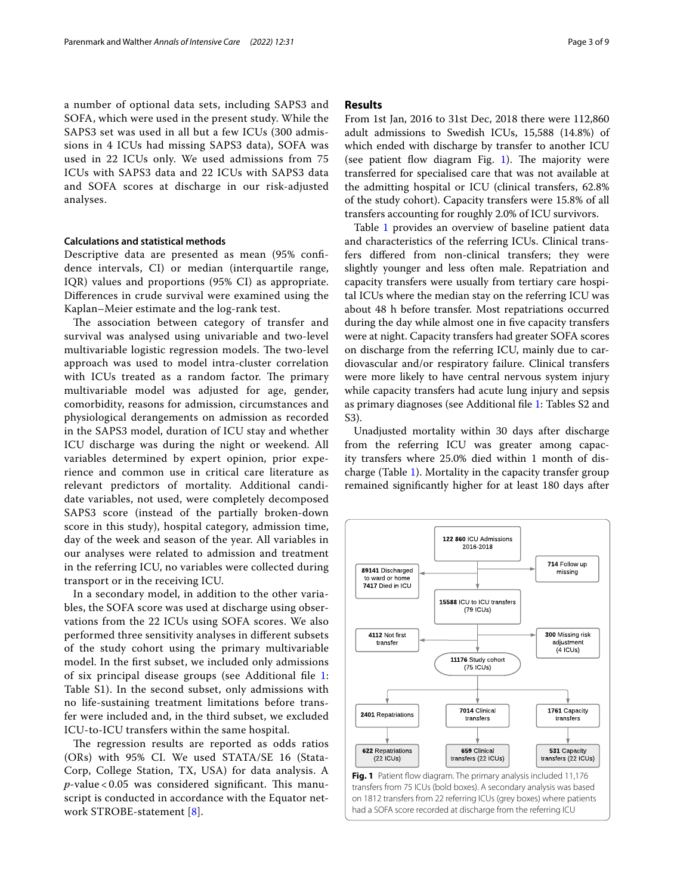a number of optional data sets, including SAPS3 and SOFA, which were used in the present study. While the SAPS3 set was used in all but a few ICUs (300 admissions in 4 ICUs had missing SAPS3 data), SOFA was used in 22 ICUs only. We used admissions from 75 ICUs with SAPS3 data and 22 ICUs with SAPS3 data and SOFA scores at discharge in our risk-adjusted analyses.

#### **Calculations and statistical methods**

Descriptive data are presented as mean (95% confdence intervals, CI) or median (interquartile range, IQR) values and proportions (95% CI) as appropriate. Diferences in crude survival were examined using the Kaplan–Meier estimate and the log-rank test.

The association between category of transfer and survival was analysed using univariable and two-level multivariable logistic regression models. The two-level approach was used to model intra-cluster correlation with ICUs treated as a random factor. The primary multivariable model was adjusted for age, gender, comorbidity, reasons for admission, circumstances and physiological derangements on admission as recorded in the SAPS3 model, duration of ICU stay and whether ICU discharge was during the night or weekend. All variables determined by expert opinion, prior experience and common use in critical care literature as relevant predictors of mortality. Additional candidate variables, not used, were completely decomposed SAPS3 score (instead of the partially broken-down score in this study), hospital category, admission time, day of the week and season of the year. All variables in our analyses were related to admission and treatment in the referring ICU, no variables were collected during transport or in the receiving ICU.

In a secondary model, in addition to the other variables, the SOFA score was used at discharge using observations from the 22 ICUs using SOFA scores. We also performed three sensitivity analyses in diferent subsets of the study cohort using the primary multivariable model. In the frst subset, we included only admissions of six principal disease groups (see Additional fle [1](#page-7-7): Table S1). In the second subset, only admissions with no life-sustaining treatment limitations before transfer were included and, in the third subset, we excluded ICU-to-ICU transfers within the same hospital.

The regression results are reported as odds ratios (ORs) with 95% CI. We used STATA/SE 16 (Stata-Corp, College Station, TX, USA) for data analysis. A  $p$ -value < 0.05 was considered significant. This manuscript is conducted in accordance with the Equator network STROBE-statement [[8](#page-7-8)].

#### **Results**

From 1st Jan, 2016 to 31st Dec, 2018 there were 112,860 adult admissions to Swedish ICUs, 15,588 (14.8%) of which ended with discharge by transfer to another ICU (see patient flow diagram Fig. [1](#page-2-0)). The majority were transferred for specialised care that was not available at the admitting hospital or ICU (clinical transfers, 62.8% of the study cohort). Capacity transfers were 15.8% of all transfers accounting for roughly 2.0% of ICU survivors.

Table [1](#page-3-0) provides an overview of baseline patient data and characteristics of the referring ICUs. Clinical transfers difered from non-clinical transfers; they were slightly younger and less often male. Repatriation and capacity transfers were usually from tertiary care hospital ICUs where the median stay on the referring ICU was about 48 h before transfer. Most repatriations occurred during the day while almost one in fve capacity transfers were at night. Capacity transfers had greater SOFA scores on discharge from the referring ICU, mainly due to cardiovascular and/or respiratory failure. Clinical transfers were more likely to have central nervous system injury while capacity transfers had acute lung injury and sepsis as primary diagnoses (see Additional fle [1:](#page-7-7) Tables S2 and S3).

Unadjusted mortality within 30 days after discharge from the referring ICU was greater among capacity transfers where 25.0% died within 1 month of discharge (Table [1\)](#page-3-0). Mortality in the capacity transfer group remained signifcantly higher for at least 180 days after

<span id="page-2-0"></span>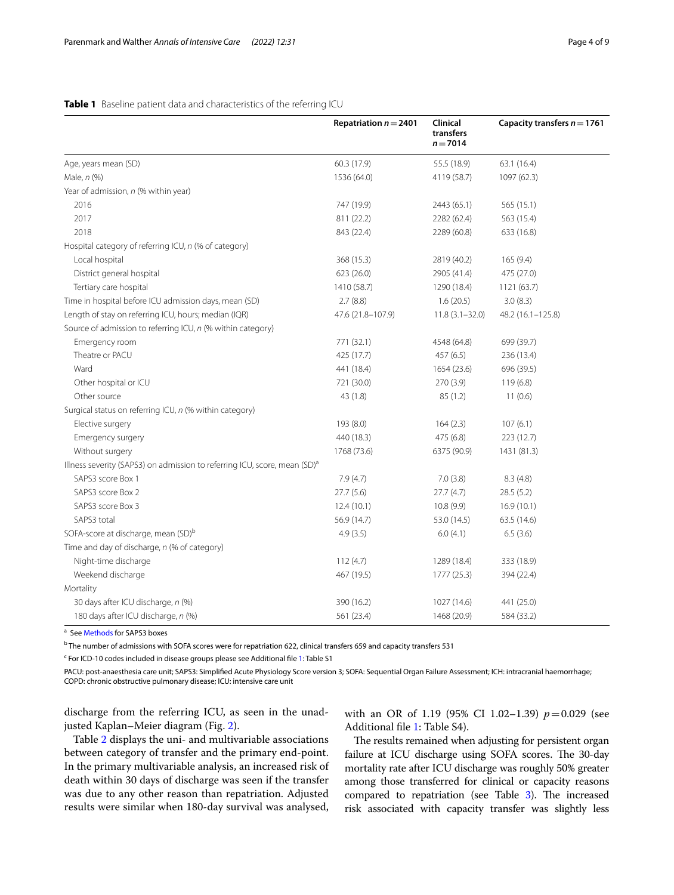## <span id="page-3-0"></span>**Table 1** Baseline patient data and characteristics of the referring ICU

|                                                                                       | Repatriation $n = 2401$ | Clinical<br>transfers<br>$n = 7014$ | Capacity transfers $n = 1761$ |
|---------------------------------------------------------------------------------------|-------------------------|-------------------------------------|-------------------------------|
| Age, years mean (SD)                                                                  | 60.3 (17.9)             | 55.5 (18.9)                         | 63.1(16.4)                    |
| Male, n (%)                                                                           | 1536 (64.0)             | 4119 (58.7)                         | 1097 (62.3)                   |
| Year of admission, n (% within year)                                                  |                         |                                     |                               |
| 2016                                                                                  | 747 (19.9)              | 2443 (65.1)                         | 565 (15.1)                    |
| 2017                                                                                  | 811 (22.2)              | 2282 (62.4)                         | 563 (15.4)                    |
| 2018                                                                                  | 843 (22.4)              | 2289 (60.8)                         | 633 (16.8)                    |
| Hospital category of referring ICU, n (% of category)                                 |                         |                                     |                               |
| Local hospital                                                                        | 368 (15.3)              | 2819 (40.2)                         | 165(9.4)                      |
| District general hospital                                                             | 623 (26.0)              | 2905 (41.4)                         | 475 (27.0)                    |
| Tertiary care hospital                                                                | 1410 (58.7)             | 1290 (18.4)                         | 1121 (63.7)                   |
| Time in hospital before ICU admission days, mean (SD)                                 | 2.7(8.8)                | 1.6(20.5)                           | 3.0(8.3)                      |
| Length of stay on referring ICU, hours; median (IQR)                                  | 47.6 (21.8-107.9)       | $11.8(3.1 - 32.0)$                  | 48.2 (16.1-125.8)             |
| Source of admission to referring ICU, n (% within category)                           |                         |                                     |                               |
| Emergency room                                                                        | 771 (32.1)              | 4548 (64.8)                         | 699 (39.7)                    |
| Theatre or PACU                                                                       | 425 (17.7)              | 457 (6.5)                           | 236 (13.4)                    |
| Ward                                                                                  | 441 (18.4)              | 1654 (23.6)                         | 696 (39.5)                    |
| Other hospital or ICU                                                                 | 721 (30.0)              | 270 (3.9)                           | 119(6.8)                      |
| Other source                                                                          | 43 (1.8)                | 85 (1.2)                            | 11(0.6)                       |
| Surgical status on referring ICU, n (% within category)                               |                         |                                     |                               |
| Elective surgery                                                                      | 193 (8.0)               | 164(2.3)                            | 107(6.1)                      |
| Emergency surgery                                                                     | 440 (18.3)              | 475 (6.8)                           | 223 (12.7)                    |
| Without surgery                                                                       | 1768 (73.6)             | 6375 (90.9)                         | 1431 (81.3)                   |
| Illness severity (SAPS3) on admission to referring ICU, score, mean (SD) <sup>a</sup> |                         |                                     |                               |
| SAPS3 score Box 1                                                                     | 7.9(4.7)                | 7.0(3.8)                            | 8.3(4.8)                      |
| SAPS3 score Box 2                                                                     | 27.7(5.6)               | 27.7(4.7)                           | 28.5(5.2)                     |
| SAPS3 score Box 3                                                                     | 12.4(10.1)              | 10.8(9.9)                           | 16.9(10.1)                    |
| SAPS3 total                                                                           | 56.9 (14.7)             | 53.0 (14.5)                         | 63.5 (14.6)                   |
| SOFA-score at discharge, mean (SD) <sup>b</sup>                                       | 4.9(3.5)                | 6.0(4.1)                            | 6.5(3.6)                      |
| Time and day of discharge, n (% of category)                                          |                         |                                     |                               |
| Night-time discharge                                                                  | 112(4.7)                | 1289 (18.4)                         | 333 (18.9)                    |
| Weekend discharge                                                                     | 467 (19.5)              | 1777 (25.3)                         | 394 (22.4)                    |
| Mortality                                                                             |                         |                                     |                               |
| 30 days after ICU discharge, n (%)                                                    | 390 (16.2)              | 1027 (14.6)                         | 441 (25.0)                    |
| 180 days after ICU discharge, n (%)                                                   | 561 (23.4)              | 1468 (20.9)                         | 584 (33.2)                    |

<sup>a</sup> See [Methods](#page-1-0) for SAPS3 boxes

<sup>b</sup> The number of admissions with SOFA scores were for repatriation 622, clinical transfers 659 and capacity transfers 531

<sup>c</sup> For ICD-10 codes included in disease groups please see Additional file [1:](#page-7-7) Table S1

PACU: post-anaesthesia care unit; SAPS3: Simplifed Acute Physiology Score version 3; SOFA: Sequential Organ Failure Assessment; ICH: intracranial haemorrhage; COPD: chronic obstructive pulmonary disease; ICU: intensive care unit

discharge from the referring ICU, as seen in the unadjusted Kaplan–Meier diagram (Fig. [2](#page-4-0)).

with an OR of 1.19 (95% CI 1.02-1.39)  $p=0.029$  (see Additional fle [1](#page-7-7): Table S4).

Table [2](#page-4-1) displays the uni- and multivariable associations between category of transfer and the primary end-point. In the primary multivariable analysis, an increased risk of death within 30 days of discharge was seen if the transfer was due to any other reason than repatriation. Adjusted results were similar when 180-day survival was analysed,

The results remained when adjusting for persistent organ failure at ICU discharge using SOFA scores. The 30-day mortality rate after ICU discharge was roughly 50% greater among those transferred for clinical or capacity reasons compared to repatriation (see Table  $3$ ). The increased risk associated with capacity transfer was slightly less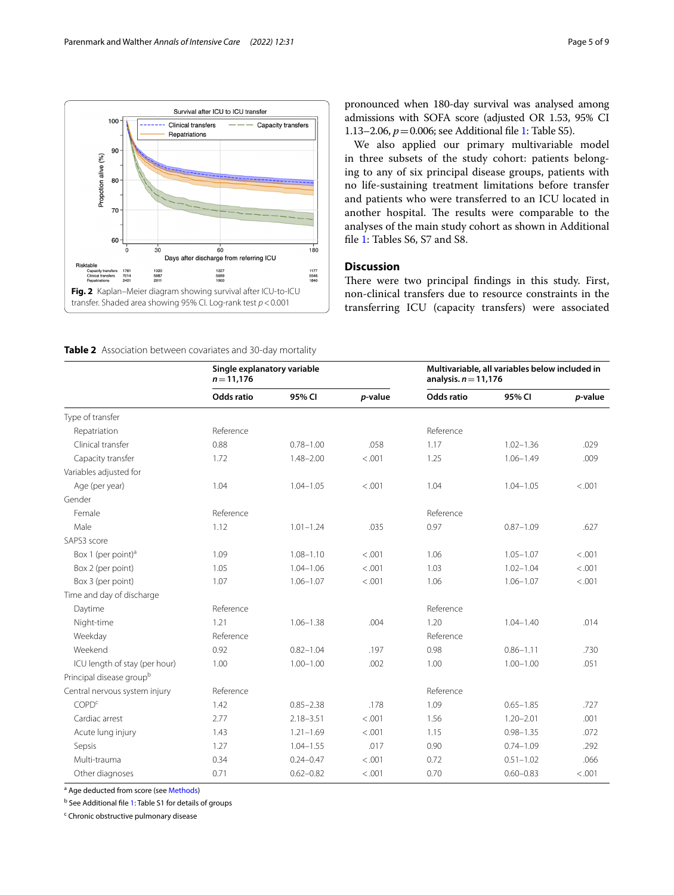

pronounced when 180-day survival was analysed among admissions with SOFA score (adjusted OR 1.53, 95% CI 1.13–2.06, *p*=0.006; see Additional fle [1](#page-7-7): Table S5).

We also applied our primary multivariable model in three subsets of the study cohort: patients belonging to any of six principal disease groups, patients with no life-sustaining treatment limitations before transfer and patients who were transferred to an ICU located in another hospital. The results were comparable to the analyses of the main study cohort as shown in Additional fle [1](#page-7-7): Tables S6, S7 and S8.

## **Discussion**

There were two principal findings in this study. First, non-clinical transfers due to resource constraints in the transferring ICU (capacity transfers) were associated

<span id="page-4-1"></span><span id="page-4-0"></span>**Table 2** Association between covariates and 30-day mortality

|                                      | Single explanatory variable<br>$n = 11,176$ |               |         | Multivariable, all variables below included in<br>analysis. $n = 11,176$ |               |         |  |
|--------------------------------------|---------------------------------------------|---------------|---------|--------------------------------------------------------------------------|---------------|---------|--|
|                                      | <b>Odds ratio</b>                           | 95% CI        | p-value | <b>Odds ratio</b>                                                        | 95% CI        | p-value |  |
| Type of transfer                     |                                             |               |         |                                                                          |               |         |  |
| Repatriation                         | Reference                                   |               |         | Reference                                                                |               |         |  |
| Clinical transfer                    | 0.88                                        | $0.78 - 1.00$ | .058    | 1.17                                                                     | $1.02 - 1.36$ | .029    |  |
| Capacity transfer                    | 1.72                                        | $1.48 - 2.00$ | < .001  | 1.25                                                                     | $1.06 - 1.49$ | .009    |  |
| Variables adjusted for               |                                             |               |         |                                                                          |               |         |  |
| Age (per year)                       | 1.04                                        | $1.04 - 1.05$ | < .001  | 1.04                                                                     | $1.04 - 1.05$ | < .001  |  |
| Gender                               |                                             |               |         |                                                                          |               |         |  |
| Female                               | Reference                                   |               |         | Reference                                                                |               |         |  |
| Male                                 | 1.12                                        | $1.01 - 1.24$ | .035    | 0.97                                                                     | $0.87 - 1.09$ | .627    |  |
| SAPS3 score                          |                                             |               |         |                                                                          |               |         |  |
| Box 1 (per point) <sup>a</sup>       | 1.09                                        | $1.08 - 1.10$ | < .001  | 1.06                                                                     | $1.05 - 1.07$ | < .001  |  |
| Box 2 (per point)                    | 1.05                                        | $1.04 - 1.06$ | < .001  | 1.03                                                                     | $1.02 - 1.04$ | < .001  |  |
| Box 3 (per point)                    | 1.07                                        | $1.06 - 1.07$ | < .001  | 1.06                                                                     | $1.06 - 1.07$ | < .001  |  |
| Time and day of discharge            |                                             |               |         |                                                                          |               |         |  |
| Daytime                              | Reference                                   |               |         | Reference                                                                |               |         |  |
| Night-time                           | 1.21                                        | $1.06 - 1.38$ | .004    | 1.20                                                                     | $1.04 - 1.40$ | .014    |  |
| Weekday                              | Reference                                   |               |         | Reference                                                                |               |         |  |
| Weekend                              | 0.92                                        | $0.82 - 1.04$ | .197    | 0.98                                                                     | $0.86 - 1.11$ | .730    |  |
| ICU length of stay (per hour)        | 1.00                                        | $1.00 - 1.00$ | .002    | 1.00                                                                     | $1.00 - 1.00$ | .051    |  |
| Principal disease group <sup>b</sup> |                                             |               |         |                                                                          |               |         |  |
| Central nervous system injury        | Reference                                   |               |         | Reference                                                                |               |         |  |
| <b>COPD<sup>c</sup></b>              | 1.42                                        | $0.85 - 2.38$ | .178    | 1.09                                                                     | $0.65 - 1.85$ | .727    |  |
| Cardiac arrest                       | 2.77                                        | $2.18 - 3.51$ | < .001  | 1.56                                                                     | $1.20 - 2.01$ | .001    |  |
| Acute lung injury                    | 1.43                                        | $1.21 - 1.69$ | < .001  | 1.15                                                                     | $0.98 - 1.35$ | .072    |  |
| Sepsis                               | 1.27                                        | $1.04 - 1.55$ | .017    | 0.90                                                                     | $0.74 - 1.09$ | .292    |  |
| Multi-trauma                         | 0.34                                        | $0.24 - 0.47$ | < .001  | 0.72                                                                     | $0.51 - 1.02$ | .066    |  |
| Other diagnoses                      | 0.71                                        | $0.62 - 0.82$ | < .001  | 0.70                                                                     | $0.60 - 0.83$ | < .001  |  |

<sup>a</sup> Age deducted from score (see [Methods\)](#page-1-0)

<sup>b</sup> See Additional file [1:](#page-7-7) Table S1 for details of groups

<sup>c</sup> Chronic obstructive pulmonary disease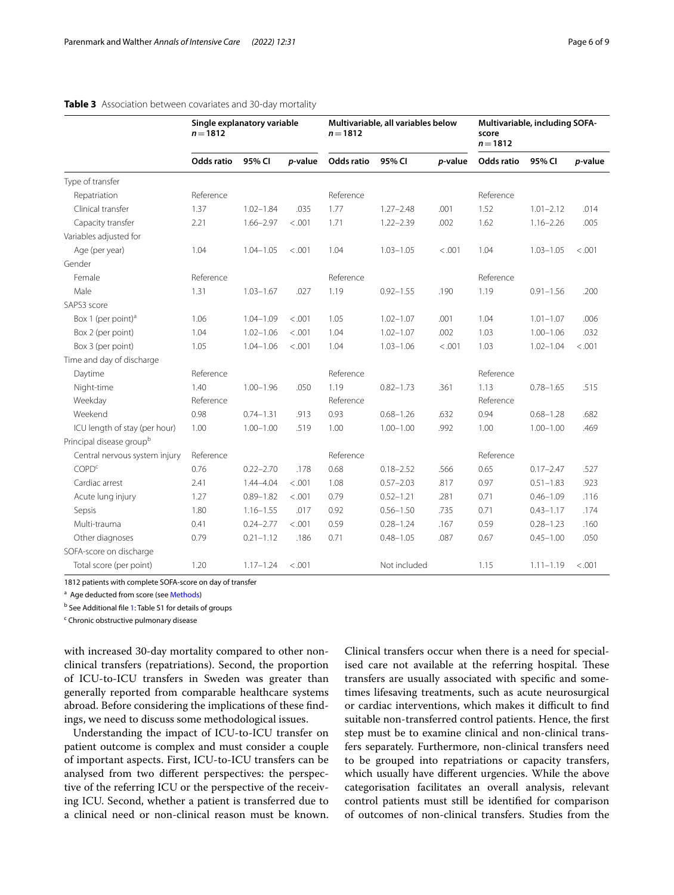|                                      | Single explanatory variable<br>$n = 1812$ |               |         | Multivariable, all variables below<br>$n = 1812$ |               |         | Multivariable, including SOFA-<br>score<br>$n = 1812$ |               |         |
|--------------------------------------|-------------------------------------------|---------------|---------|--------------------------------------------------|---------------|---------|-------------------------------------------------------|---------------|---------|
|                                      | <b>Odds ratio</b>                         | 95% CI        | p-value | <b>Odds ratio</b>                                | 95% CI        | p-value | Odds ratio                                            | 95% CI        | p-value |
| Type of transfer                     |                                           |               |         |                                                  |               |         |                                                       |               |         |
| Repatriation                         | Reference                                 |               |         | Reference                                        |               |         | Reference                                             |               |         |
| Clinical transfer                    | 1.37                                      | $1.02 - 1.84$ | .035    | 1.77                                             | $1.27 - 2.48$ | .001    | 1.52                                                  | $1.01 - 2.12$ | .014    |
| Capacity transfer                    | 2.21                                      | $1.66 - 2.97$ | < .001  | 1.71                                             | $1.22 - 2.39$ | .002    | 1.62                                                  | $1.16 - 2.26$ | .005    |
| Variables adjusted for               |                                           |               |         |                                                  |               |         |                                                       |               |         |
| Age (per year)                       | 1.04                                      | $1.04 - 1.05$ | < .001  | 1.04                                             | $1.03 - 1.05$ | < .001  | 1.04                                                  | $1.03 - 1.05$ | < .001  |
| Gender                               |                                           |               |         |                                                  |               |         |                                                       |               |         |
| Female                               | Reference                                 |               |         | Reference                                        |               |         | Reference                                             |               |         |
| Male                                 | 1.31                                      | $1.03 - 1.67$ | .027    | 1.19                                             | $0.92 - 1.55$ | .190    | 1.19                                                  | $0.91 - 1.56$ | .200    |
| SAPS3 score                          |                                           |               |         |                                                  |               |         |                                                       |               |         |
| Box 1 (per point) <sup>a</sup>       | 1.06                                      | $1.04 - 1.09$ | < .001  | 1.05                                             | $1.02 - 1.07$ | .001    | 1.04                                                  | $1.01 - 1.07$ | .006    |
| Box 2 (per point)                    | 1.04                                      | $1.02 - 1.06$ | < .001  | 1.04                                             | $1.02 - 1.07$ | .002    | 1.03                                                  | $1.00 - 1.06$ | .032    |
| Box 3 (per point)                    | 1.05                                      | $1.04 - 1.06$ | < .001  | 1.04                                             | $1.03 - 1.06$ | < 0.001 | 1.03                                                  | $1.02 - 1.04$ | < .001  |
| Time and day of discharge            |                                           |               |         |                                                  |               |         |                                                       |               |         |
| Daytime                              | Reference                                 |               |         | Reference                                        |               |         | Reference                                             |               |         |
| Night-time                           | 1.40                                      | $1.00 - 1.96$ | .050    | 1.19                                             | $0.82 - 1.73$ | .361    | 1.13                                                  | $0.78 - 1.65$ | .515    |
| Weekday                              | Reference                                 |               |         | Reference                                        |               |         | Reference                                             |               |         |
| Weekend                              | 0.98                                      | $0.74 - 1.31$ | .913    | 0.93                                             | $0.68 - 1.26$ | .632    | 0.94                                                  | $0.68 - 1.28$ | .682    |
| ICU length of stay (per hour)        | 1.00                                      | $1.00 - 1.00$ | .519    | 1.00                                             | $1.00 - 1.00$ | .992    | 1.00                                                  | $1.00 - 1.00$ | .469    |
| Principal disease group <sup>b</sup> |                                           |               |         |                                                  |               |         |                                                       |               |         |
| Central nervous system injury        | Reference                                 |               |         | Reference                                        |               |         | Reference                                             |               |         |
| <b>COPD<sup>c</sup></b>              | 0.76                                      | $0.22 - 2.70$ | .178    | 0.68                                             | $0.18 - 2.52$ | .566    | 0.65                                                  | $0.17 - 2.47$ | .527    |
| Cardiac arrest                       | 2.41                                      | $1.44 - 4.04$ | < .001  | 1.08                                             | $0.57 - 2.03$ | .817    | 0.97                                                  | $0.51 - 1.83$ | .923    |
| Acute lung injury                    | 1.27                                      | $0.89 - 1.82$ | < .001  | 0.79                                             | $0.52 - 1.21$ | .281    | 0.71                                                  | $0.46 - 1.09$ | .116    |
| Sepsis                               | 1.80                                      | $1.16 - 1.55$ | .017    | 0.92                                             | $0.56 - 1.50$ | .735    | 0.71                                                  | $0.43 - 1.17$ | .174    |
| Multi-trauma                         | 0.41                                      | $0.24 - 2.77$ | < .001  | 0.59                                             | $0.28 - 1.24$ | .167    | 0.59                                                  | $0.28 - 1.23$ | .160    |
| Other diagnoses                      | 0.79                                      | $0.21 - 1.12$ | .186    | 0.71                                             | $0.48 - 1.05$ | .087    | 0.67                                                  | $0.45 - 1.00$ | .050    |
| SOFA-score on discharge              |                                           |               |         |                                                  |               |         |                                                       |               |         |
| Total score (per point)              | 1.20                                      | $1.17 - 1.24$ | < .001  |                                                  | Not included  |         | 1.15                                                  | $1.11 - 1.19$ | < .001  |

### <span id="page-5-0"></span>**Table 3** Association between covariates and 30-day mortality

1812 patients with complete SOFA-score on day of transfer

<sup>a</sup> Age deducted from score (see [Methods](#page-1-0))

<sup>b</sup> See Additional file [1:](#page-7-7) Table S1 for details of groups

<sup>c</sup> Chronic obstructive pulmonary disease

with increased 30-day mortality compared to other nonclinical transfers (repatriations). Second, the proportion of ICU-to-ICU transfers in Sweden was greater than generally reported from comparable healthcare systems abroad. Before considering the implications of these fndings, we need to discuss some methodological issues.

Understanding the impact of ICU-to-ICU transfer on patient outcome is complex and must consider a couple of important aspects. First, ICU-to-ICU transfers can be analysed from two diferent perspectives: the perspective of the referring ICU or the perspective of the receiving ICU. Second, whether a patient is transferred due to a clinical need or non-clinical reason must be known.

Clinical transfers occur when there is a need for specialised care not available at the referring hospital. These transfers are usually associated with specifc and sometimes lifesaving treatments, such as acute neurosurgical or cardiac interventions, which makes it difficult to find suitable non-transferred control patients. Hence, the frst step must be to examine clinical and non-clinical transfers separately. Furthermore, non-clinical transfers need to be grouped into repatriations or capacity transfers, which usually have diferent urgencies. While the above categorisation facilitates an overall analysis, relevant control patients must still be identifed for comparison of outcomes of non-clinical transfers. Studies from the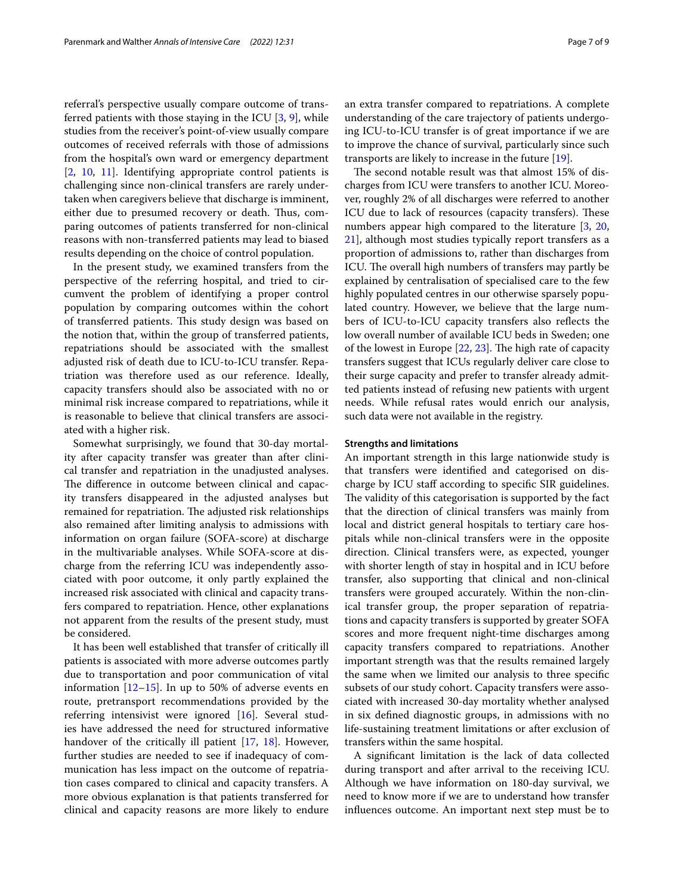referral's perspective usually compare outcome of transferred patients with those staying in the ICU  $[3, 9]$  $[3, 9]$  $[3, 9]$  $[3, 9]$ , while studies from the receiver's point-of-view usually compare outcomes of received referrals with those of admissions from the hospital's own ward or emergency department [[2,](#page-7-1) [10,](#page-7-10) [11\]](#page-7-11). Identifying appropriate control patients is challenging since non-clinical transfers are rarely undertaken when caregivers believe that discharge is imminent, either due to presumed recovery or death. Thus, comparing outcomes of patients transferred for non-clinical reasons with non-transferred patients may lead to biased results depending on the choice of control population.

In the present study, we examined transfers from the perspective of the referring hospital, and tried to circumvent the problem of identifying a proper control population by comparing outcomes within the cohort of transferred patients. This study design was based on the notion that, within the group of transferred patients, repatriations should be associated with the smallest adjusted risk of death due to ICU-to-ICU transfer. Repatriation was therefore used as our reference. Ideally, capacity transfers should also be associated with no or minimal risk increase compared to repatriations, while it is reasonable to believe that clinical transfers are associated with a higher risk.

Somewhat surprisingly, we found that 30-day mortality after capacity transfer was greater than after clinical transfer and repatriation in the unadjusted analyses. The difference in outcome between clinical and capacity transfers disappeared in the adjusted analyses but remained for repatriation. The adjusted risk relationships also remained after limiting analysis to admissions with information on organ failure (SOFA-score) at discharge in the multivariable analyses. While SOFA-score at discharge from the referring ICU was independently associated with poor outcome, it only partly explained the increased risk associated with clinical and capacity transfers compared to repatriation. Hence, other explanations not apparent from the results of the present study, must be considered.

It has been well established that transfer of critically ill patients is associated with more adverse outcomes partly due to transportation and poor communication of vital information [\[12](#page-7-12)[–15\]](#page-7-13). In up to 50% of adverse events en route, pretransport recommendations provided by the referring intensivist were ignored [[16](#page-8-0)]. Several studies have addressed the need for structured informative handover of the critically ill patient [\[17](#page-8-1), [18](#page-8-2)]. However, further studies are needed to see if inadequacy of communication has less impact on the outcome of repatriation cases compared to clinical and capacity transfers. A more obvious explanation is that patients transferred for clinical and capacity reasons are more likely to endure an extra transfer compared to repatriations. A complete understanding of the care trajectory of patients undergoing ICU-to-ICU transfer is of great importance if we are to improve the chance of survival, particularly since such transports are likely to increase in the future [[19\]](#page-8-3).

The second notable result was that almost 15% of discharges from ICU were transfers to another ICU. Moreover, roughly 2% of all discharges were referred to another ICU due to lack of resources (capacity transfers). These numbers appear high compared to the literature [[3,](#page-7-2) [20](#page-8-4), [21\]](#page-8-5), although most studies typically report transfers as a proportion of admissions to, rather than discharges from ICU. The overall high numbers of transfers may partly be explained by centralisation of specialised care to the few highly populated centres in our otherwise sparsely populated country. However, we believe that the large numbers of ICU-to-ICU capacity transfers also refects the low overall number of available ICU beds in Sweden; one of the lowest in Europe  $[22, 23]$  $[22, 23]$  $[22, 23]$ . The high rate of capacity transfers suggest that ICUs regularly deliver care close to their surge capacity and prefer to transfer already admitted patients instead of refusing new patients with urgent needs. While refusal rates would enrich our analysis, such data were not available in the registry.

#### **Strengths and limitations**

An important strength in this large nationwide study is that transfers were identifed and categorised on discharge by ICU staf according to specifc SIR guidelines. The validity of this categorisation is supported by the fact that the direction of clinical transfers was mainly from local and district general hospitals to tertiary care hospitals while non-clinical transfers were in the opposite direction. Clinical transfers were, as expected, younger with shorter length of stay in hospital and in ICU before transfer, also supporting that clinical and non-clinical transfers were grouped accurately. Within the non-clinical transfer group, the proper separation of repatriations and capacity transfers is supported by greater SOFA scores and more frequent night-time discharges among capacity transfers compared to repatriations. Another important strength was that the results remained largely the same when we limited our analysis to three specifc subsets of our study cohort. Capacity transfers were associated with increased 30-day mortality whether analysed in six defned diagnostic groups, in admissions with no life-sustaining treatment limitations or after exclusion of transfers within the same hospital.

A signifcant limitation is the lack of data collected during transport and after arrival to the receiving ICU. Although we have information on 180-day survival, we need to know more if we are to understand how transfer infuences outcome. An important next step must be to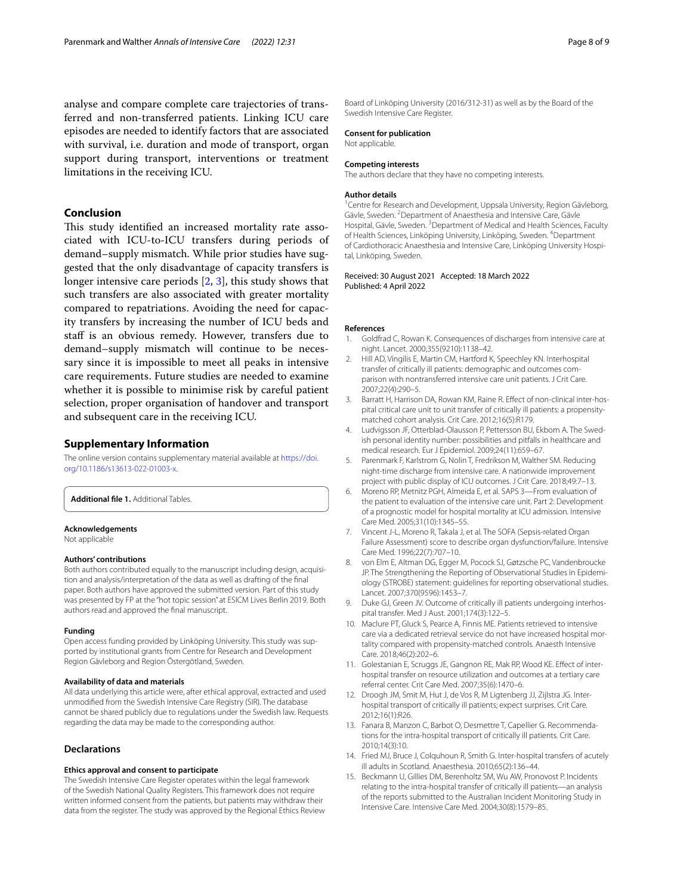analyse and compare complete care trajectories of transferred and non-transferred patients. Linking ICU care episodes are needed to identify factors that are associated with survival, i.e. duration and mode of transport, organ support during transport, interventions or treatment limitations in the receiving ICU.

## **Conclusion**

This study identified an increased mortality rate associated with ICU-to-ICU transfers during periods of demand–supply mismatch. While prior studies have suggested that the only disadvantage of capacity transfers is longer intensive care periods [\[2](#page-7-1), [3\]](#page-7-2), this study shows that such transfers are also associated with greater mortality compared to repatriations. Avoiding the need for capacity transfers by increasing the number of ICU beds and staff is an obvious remedy. However, transfers due to demand–supply mismatch will continue to be necessary since it is impossible to meet all peaks in intensive care requirements. Future studies are needed to examine whether it is possible to minimise risk by careful patient selection, proper organisation of handover and transport and subsequent care in the receiving ICU.

## **Supplementary Information**

The online version contains supplementary material available at [https://doi.](https://doi.org/10.1186/s13613-022-01003-x) [org/10.1186/s13613-022-01003-x.](https://doi.org/10.1186/s13613-022-01003-x)

<span id="page-7-7"></span>**Additional fle 1.** Additional Tables.

#### **Acknowledgements**

Not applicable

#### **Authors' contributions**

Both authors contributed equally to the manuscript including design, acquisition and analysis/interpretation of the data as well as drafting of the fnal paper. Both authors have approved the submitted version. Part of this study was presented by FP at the "hot topic session" at ESICM Lives Berlin 2019. Both authors read and approved the fnal manuscript.

#### **Funding**

Open access funding provided by Linköping University. This study was supported by institutional grants from Centre for Research and Development Region Gävleborg and Region Östergötland, Sweden.

#### **Availability of data and materials**

All data underlying this article were, after ethical approval, extracted and used unmodifed from the Swedish Intensive Care Registry (SIR). The database cannot be shared publicly due to regulations under the Swedish law. Requests regarding the data may be made to the corresponding author.

## **Declarations**

#### **Ethics approval and consent to participate**

The Swedish Intensive Care Register operates within the legal framework of the Swedish National Quality Registers. This framework does not require written informed consent from the patients, but patients may withdraw their data from the register. The study was approved by the Regional Ethics Review Board of Linköping University (2016/312-31) as well as by the Board of the Swedish Intensive Care Register.

## **Consent for publication**

Not applicable.

#### **Competing interests**

The authors declare that they have no competing interests.

#### **Author details**

<sup>1</sup> Centre for Research and Development, Uppsala University, Region Gävleborg, Gävle, Sweden. <sup>2</sup> Department of Anaesthesia and Intensive Care, Gävle Hospital, Gävle, Sweden. <sup>3</sup> Department of Medical and Health Sciences, Faculty of Health Sciences, Linköping University, Linköping, Sweden. 4 Department of Cardiothoracic Anaesthesia and Intensive Care, Linköping University Hospital, Linköping, Sweden.

#### Received: 30 August 2021 Accepted: 18 March 2022 Published: 4 April 2022

#### **References**

- <span id="page-7-0"></span>1. Goldfrad C, Rowan K. Consequences of discharges from intensive care at night. Lancet. 2000;355(9210):1138–42.
- <span id="page-7-1"></span>2. Hill AD, Vingilis E, Martin CM, Hartford K, Speechley KN. Interhospital transfer of critically ill patients: demographic and outcomes comparison with nontransferred intensive care unit patients. J Crit Care. 2007;22(4):290–5.
- <span id="page-7-2"></span>3. Barratt H, Harrison DA, Rowan KM, Raine R. Efect of non-clinical inter-hospital critical care unit to unit transfer of critically ill patients: a propensitymatched cohort analysis. Crit Care. 2012;16(5):R179.
- <span id="page-7-3"></span>4. Ludvigsson JF, Otterblad-Olausson P, Pettersson BU, Ekbom A. The Swedish personal identity number: possibilities and pitfalls in healthcare and medical research. Eur J Epidemiol. 2009;24(11):659–67.
- <span id="page-7-4"></span>5. Parenmark F, Karlstrom G, Nolin T, Fredrikson M, Walther SM. Reducing night-time discharge from intensive care. A nationwide improvement project with public display of ICU outcomes. J Crit Care. 2018;49:7–13.
- <span id="page-7-5"></span>6. Moreno RP, Metnitz PGH, Almeida E, et al. SAPS 3—From evaluation of the patient to evaluation of the intensive care unit. Part 2: Development of a prognostic model for hospital mortality at ICU admission. Intensive Care Med. 2005;31(10):1345–55.
- <span id="page-7-6"></span>7. Vincent J-L, Moreno R, Takala J, et al. The SOFA (Sepsis-related Organ Failure Assessment) score to describe organ dysfunction/failure. Intensive Care Med. 1996;22(7):707–10.
- <span id="page-7-8"></span>8. von Elm E, Altman DG, Egger M, Pocock SJ, Gøtzsche PC, Vandenbroucke JP. The Strengthening the Reporting of Observational Studies in Epidemiology (STROBE) statement: guidelines for reporting observational studies. Lancet. 2007;370(9596):1453–7.
- <span id="page-7-9"></span>9. Duke GJ, Green JV. Outcome of critically ill patients undergoing interhospital transfer. Med J Aust. 2001;174(3):122–5.
- <span id="page-7-10"></span>10. Maclure PT, Gluck S, Pearce A, Finnis ME. Patients retrieved to intensive care via a dedicated retrieval service do not have increased hospital mortality compared with propensity-matched controls. Anaesth Intensive Care. 2018;46(2):202–6.
- <span id="page-7-11"></span>11. Golestanian E, Scruggs JE, Gangnon RE, Mak RP, Wood KE. Efect of interhospital transfer on resource utilization and outcomes at a tertiary care referral center. Crit Care Med. 2007;35(6):1470–6.
- <span id="page-7-12"></span>12. Droogh JM, Smit M, Hut J, de Vos R, M Ligtenberg JJ, Zijlstra JG. Interhospital transport of critically ill patients; expect surprises. Crit Care. 2012;16(1):R26.
- 13. Fanara B, Manzon C, Barbot O, Desmettre T, Capellier G. Recommendations for the intra-hospital transport of critically ill patients. Crit Care. 2010;14(3):10.
- 14. Fried MJ, Bruce J, Colquhoun R, Smith G. Inter-hospital transfers of acutely ill adults in Scotland. Anaesthesia. 2010;65(2):136–44.
- <span id="page-7-13"></span>15. Beckmann U, Gillies DM, Berenholtz SM, Wu AW, Pronovost P. Incidents relating to the intra-hospital transfer of critically ill patients—an analysis of the reports submitted to the Australian Incident Monitoring Study in Intensive Care. Intensive Care Med. 2004;30(8):1579–85.